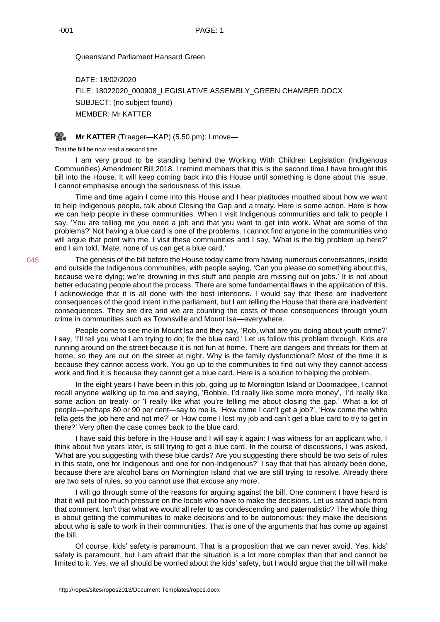Queensland Parliament Hansard Green

DATE: 18/02/2020 FILE: 18022020\_000908\_LEGISLATIVE ASSEMBLY\_GREEN CHAMBER.DOCX SUBJECT: (no subject found) MEMBER: Mr KATTER

## ഇ. **Mr [KATTER](http://www.parliament.qld.gov.au/docs/find.aspx?id=0Mba20200218_175015)** (Traeger—KAP) (5.50 pm): I move—

That the bill be now read a second time.

I am very proud to be standing behind the Working With Children Legislation (Indigenous Communities) Amendment Bill 2018. I remind members that this is the second time I have brought this bill into the House. It will keep coming back into this House until something is done about this issue. I cannot emphasise enough the seriousness of this issue.

Time and time again I come into this House and I hear platitudes mouthed about how we want to help Indigenous people, talk about Closing the Gap and a treaty. Here is some action. Here is how we can help people in these communities. When I visit Indigenous communities and talk to people I say, 'You are telling me you need a job and that you want to get into work. What are some of the problems?' Not having a blue card is one of the problems. I cannot find anyone in the communities who will argue that point with me. I visit these communities and I say, 'What is the big problem up here?' and I am told, 'Mate, none of us can get a blue card.'

The genesis of the bill before the House today came from having numerous conversations, inside and outside the Indigenous communities, with people saying, 'Can you please do something about this, because we're dying; we're drowning in this stuff and people are missing out on jobs.' It is not about better educating people about the process. There are some fundamental flaws in the application of this. I acknowledge that it is all done with the best intentions. I would say that these are inadvertent consequences of the good intent in the parliament, but I am telling the House that there are inadvertent consequences. They are dire and we are counting the costs of those consequences through youth crime in communities such as Townsville and Mount Isa—everywhere.

People come to see me in Mount Isa and they say, 'Rob, what are you doing about youth crime?' I say, 'I'll tell you what I am trying to do; fix the blue card.' Let us follow this problem through. Kids are running around on the street because it is not fun at home. There are dangers and threats for them at home, so they are out on the street at night. Why is the family dysfunctional? Most of the time it is because they cannot access work. You go up to the communities to find out why they cannot access work and find it is because they cannot get a blue card. Here is a solution to helping the problem.

In the eight years I have been in this job, going up to Mornington Island or Doomadgee, I cannot recall anyone walking up to me and saying, 'Robbie, I'd really like some more money', 'I'd really like some action on treaty' or 'I really like what you're telling me about closing the gap.' What a lot of people—perhaps 80 or 90 per cent—say to me is, 'How come I can't get a job?', 'How come the white fella gets the job here and not me?' or 'How come I lost my job and can't get a blue card to try to get in there?' Very often the case comes back to the blue card.

I have said this before in the House and I will say it again: I was witness for an applicant who, I think about five years later, is still trying to get a blue card. In the course of discussions, I was asked, 'What are you suggesting with these blue cards? Are you suggesting there should be two sets of rules in this state, one for Indigenous and one for non-Indigenous?' I say that that has already been done, because there are alcohol bans on Mornington Island that we are still trying to resolve. Already there are two sets of rules, so you cannot use that excuse any more.

I will go through some of the reasons for arguing against the bill. One comment I have heard is that it will put too much pressure on the locals who have to make the decisions. Let us stand back from that comment. Isn't that what we would all refer to as condescending and paternalistic? The whole thing is about getting the communities to make decisions and to be autonomous; they make the decisions about who is safe to work in their communities. That is one of the arguments that has come up against the bill.

Of course, kids' safety is paramount. That is a proposition that we can never avoid. Yes, kids' safety is paramount, but I am afraid that the situation is a lot more complex than that and cannot be limited to it. Yes, we all should be worried about the kids' safety, but I would argue that the bill will make

045